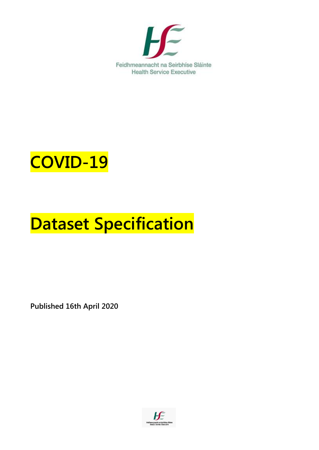

# **COVID-19**

# **Dataset Specification**

**Published 16th April 2020**

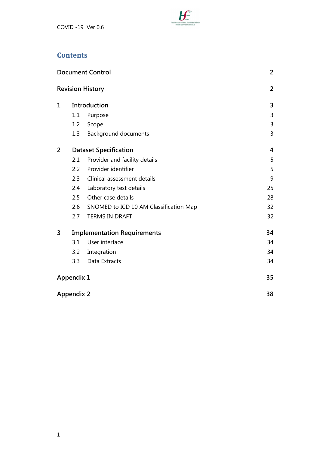

#### **Contents**

|                |                   | <b>Document Control</b>                | 2              |
|----------------|-------------------|----------------------------------------|----------------|
|                |                   | <b>Revision History</b>                | $\overline{2}$ |
| 1              |                   | Introduction                           | 3              |
|                | 1.1               | Purpose                                | 3              |
|                | 1.2               | Scope                                  | 3              |
|                | 1.3               | <b>Background documents</b>            | 3              |
| $\overline{2}$ |                   | <b>Dataset Specification</b>           |                |
|                | 2.1               | Provider and facility details          | 5              |
|                | $2.2\phantom{0}$  | Provider identifier                    | 5              |
|                | 2.3               | Clinical assessment details            | 9              |
|                | 2.4               | Laboratory test details                | 25             |
|                | 2.5               | Other case details                     | 28             |
|                | 2.6               | SNOMED to ICD 10 AM Classification Map | 32             |
|                | 2.7               | <b>TERMS IN DRAFT</b>                  | 32             |
| 3              |                   | <b>Implementation Requirements</b>     | 34             |
|                | 3.1               | User interface                         | 34             |
|                | 3.2               | Integration                            | 34             |
|                | 3.3               | Data Extracts                          | 34             |
|                | <b>Appendix 1</b> |                                        | 35             |
|                | <b>Appendix 2</b> |                                        | 38             |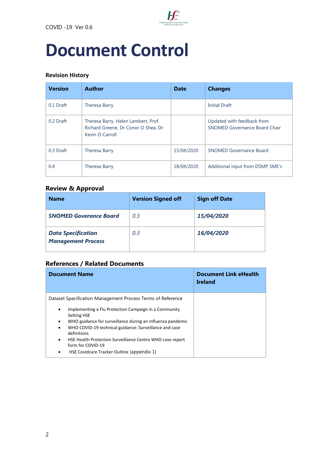

# <span id="page-3-0"></span>**Document Control**

#### <span id="page-3-1"></span>**Revision History**

| <b>Version</b> | <b>Author</b>                                                                                 | <b>Date</b> | <b>Changes</b>                                                     |
|----------------|-----------------------------------------------------------------------------------------------|-------------|--------------------------------------------------------------------|
| 0.1 Draft      | Theresa Barry                                                                                 |             | <b>Initial Draft</b>                                               |
| 0.2 Draft      | Theresa Barry, Helen Lambert, Prof.<br>Richard Greene, Dr Conor O Shea, Dr<br>Kevin O Carroll |             | Updated with feedback from<br><b>SNOMED Governance Board Chair</b> |
| 0.3 Draft      | Theresa Barry                                                                                 | 15/04/2020  | <b>SNOMED Governance Board</b>                                     |
| 0.4            | Theresa Barry                                                                                 | 18/04/2020  | Additional input from DSMP SME's                                   |

#### **Review & Approval**

| <b>Name</b>                                            | <b>Version Signed off</b> | <b>Sign off Date</b> |
|--------------------------------------------------------|---------------------------|----------------------|
| <b>SNOMED Goverance Board</b>                          | 0.3                       | 15/04/2020           |
| <b>Data Specification</b><br><b>Management Process</b> | 0.3                       | 16/04/2020           |

#### **References / Related Documents**

| <b>Document Name</b>                                                                                                                                                                                                                                                                                        | <b>Document Link eHealth</b><br><b>Ireland</b> |
|-------------------------------------------------------------------------------------------------------------------------------------------------------------------------------------------------------------------------------------------------------------------------------------------------------------|------------------------------------------------|
| Dataset Specification Management Process Terms of Reference                                                                                                                                                                                                                                                 |                                                |
| Implementing a Flu Protection Campaign in a Community<br>٠<br><b>Setting HSE</b><br>WHO guidance for surveillance during an influenza pandemic<br>٠<br>WHO COVID-19 technical guidance: Surveillance and case<br>٠<br>definitions<br>HSE Health Protection Surveillance Centre WHO case report<br>$\bullet$ |                                                |
| form for COVID-19<br>HSE Covidcare Tracker Outline (appendix 1)<br>٠                                                                                                                                                                                                                                        |                                                |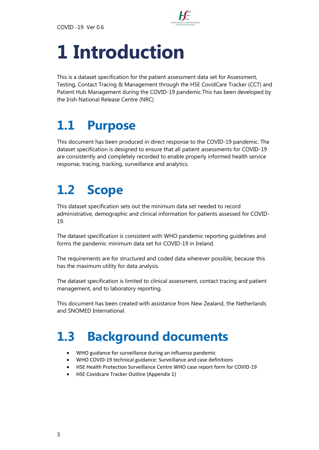

# <span id="page-4-0"></span>**1 Introduction**

This is a dataset specification for the patient assessment data set for Assessment, Testing, Contact Tracing & Management through the HSE CovidCare Tracker (CCT) and Patient Hub Management during the COVID-19 pandemic.This has been developed by the Irish National Release Centre (NRC)

# <span id="page-4-1"></span>**1.1 Purpose**

This document has been produced in direct response to the COVID-19 pandemic. The dataset specification is designed to ensure that all patient assessments for COVID-19 are consistently and completely recorded to enable properly informed health service response, tracing, tracking, surveillance and analytics.

# <span id="page-4-2"></span>**1.2 Scope**

This dataset specification sets out the minimum data set needed to record administrative, demographic and clinical information for patients assessed for COVID-19.

The dataset specification is consistent with WHO pandemic reporting guidelines and forms the pandemic minimum data set for COVID-19 in Ireland.

The requirements are for structured and coded data wherever possible, because this has the maximum utility for data analysis.

The dataset specification is limited to clinical assessment, contact tracing and patient management, and to laboratory reporting.

This document has been created with assistance from New Zealand, the Netherlands and SNOMED International.

# <span id="page-4-3"></span>**1.3 Background documents**

- [WHO guidance for surveillance during an influenza pandemic](https://www.who.int/csr/resources/publications/swineflu/surveillance/en/)
- [WHO COVID-19 technical guidance: Surveillance and case definitions](https://www.who.int/emergencies/diseases/novel-coronavirus-2019/technical-guidance/surveillance-and-case-definitions)
- [HSE Health Protection Surveillance Centre WHO case report form for COVID-19](https://www.hpsc.ie/a-z/respiratory/coronavirus/novelcoronavirus/surveillance/)
- [HSE Covidcare Tracker Outline](file:///C:/Users/Theresa.barry/AppData/Local/Microsoft/Windows/Temporary%20Internet%20Files/Content.Outlook/UIXLNBII/CovidCare%20Tracker%20Project%20outline%20(3).docx) (Appendix 1)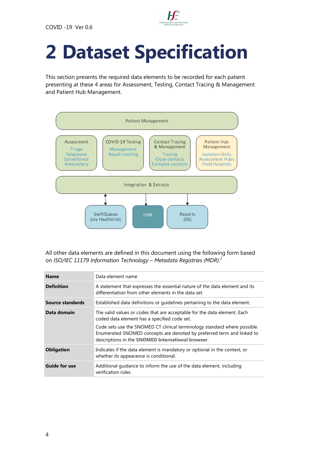

# <span id="page-5-0"></span>**2 Dataset Specification**

This section presents the required data elements to be recorded for each patient presenting at these 4 areas for Assessment, Testing, Contact Tracing & Management and Patient Hub Management.



All other data elements are defined in this document using the following form based on *ISO/IEC 11179 Information Technology – Metadata Registries (MDR)*. 2

| <b>Name</b>          | Data element name                                                                                                                                                                                        |
|----------------------|----------------------------------------------------------------------------------------------------------------------------------------------------------------------------------------------------------|
| <b>Definition</b>    | A statement that expresses the essential nature of the data element and its<br>differentiation from other elements in the data set.                                                                      |
| Source standards     | Established data definitions or quidelines pertaining to the data element.                                                                                                                               |
| Data domain          | The valid values or codes that are acceptable for the data element. Each<br>coded data element has a specified code set.                                                                                 |
|                      | Code sets use the SNOMED CT clinical terminology standard where possible.<br>Enumerated SNOMED concepts are denoted by preferred term and linked to<br>descriptions in the SNOMED International browser. |
| <b>Obligation</b>    | Indicates if the data element is mandatory or optional in the context, or<br>whether its appearance is conditional.                                                                                      |
| <b>Guide for use</b> | Additional quidance to inform the use of the data element, including<br>verification rules.                                                                                                              |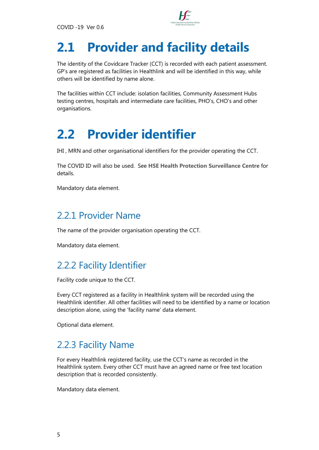

# <span id="page-6-0"></span>**2.1 Provider and facility details**

The identity of the Covidcare Tracker (CCT) is recorded with each patient assessment. GP's are registered as facilities in Healthlink and will be identified in this way, while others will be identified by name alone.

The facilities within CCT include: isolation facilities, Community Assessment Hubs testing centres, hospitals and intermediate care facilities, PHO's, CHO's and other organisations.

## <span id="page-6-1"></span>**2.2 Provider identifier**

IHI , MRN and other organisational identifiers for the provider operating the CCT.

The COVID ID will also be used. See **[HSE Health Protection Surveillance Centre](https://www.hpsc.ie/a-z/respiratory/coronavirus/novelcoronavirus/casedefinitions/)** for details.

Mandatory data element.

#### 2.2.1 Provider Name

The name of the provider organisation operating the CCT.

Mandatory data element.

### 2.2.2 Facility Identifier

Facility code unique to the CCT.

Every CCT registered as a facility in Healthlink system will be recorded using the Healthlink identifier. All other facilities will need to be identified by a name or location description alone, using the 'facility name' data element.

Optional data element.

#### 2.2.3 Facility Name

For every Healthlink registered facility, use the CCT's name as recorded in the Healthlink system. Every other CCT must have an agreed name or free text location description that is recorded consistently.

Mandatory data element.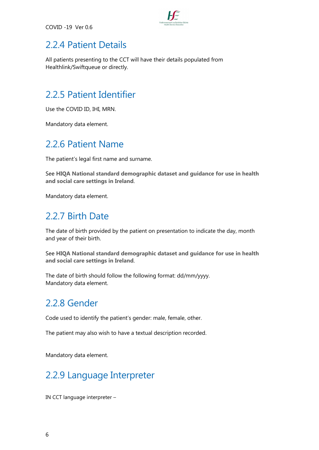

#### 2.2.4 Patient Details

All patients presenting to the CCT will have their details populated from Healthlink/Swiftqueue or directly.

#### 2.2.5 Patient Identifier

Use the COVID ID, IHI, MRN.

Mandatory data element.

#### 2.2.6 Patient Name

The patient's legal first name and surname.

See **[HIQA National standard demographic dataset and guidance for use in health](https://www.hiqa.ie/reports-and-publications/health-information/national-standard-demographic-dataset-and-guidance-use)  [and social care settings in Ireland](https://www.hiqa.ie/reports-and-publications/health-information/national-standard-demographic-dataset-and-guidance-use)**.

Mandatory data element.

#### 2.2.7 Birth Date

The date of birth provided by the patient on presentation to indicate the day, month and year of their birth.

See **[HIQA National standard demographic dataset and guidance for use in health](https://www.hiqa.ie/reports-and-publications/health-information/national-standard-demographic-dataset-and-guidance-use)  [and social care settings in Ireland](https://www.hiqa.ie/reports-and-publications/health-information/national-standard-demographic-dataset-and-guidance-use)**.

The date of birth should follow the following format: dd/mm/yyyy. Mandatory data element.

#### 2.2.8 Gender

Code used to identify the patient's gender: male, female, other.

The patient may also wish to have a textual description recorded.

Mandatory data element.

### 2.2.9 Language Interpreter

IN CCT language interpreter –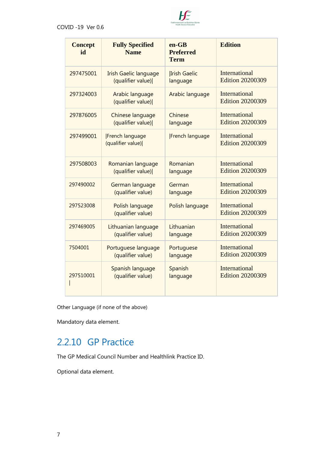

| <b>Concept</b><br>id | <b>Fully Specified</b><br><b>Name</b>       | $en-GB$<br><b>Preferred</b><br><b>Term</b> | <b>Edition</b>                                  |
|----------------------|---------------------------------------------|--------------------------------------------|-------------------------------------------------|
| 297475001            | <b>Irish Gaelic language</b>                | <b>Irish Gaelic</b>                        | <b>International</b>                            |
|                      | (qualifier value)                           | language                                   | <b>Edition 20200309</b>                         |
| 297324003            | Arabic language<br>(qualifier value)        | Arabic language                            | <b>International</b><br><b>Edition 20200309</b> |
| 297876005            | Chinese language                            | Chinese                                    | <b>International</b>                            |
|                      | (qualifier value)                           | language                                   | <b>Edition 20200309</b>                         |
| 297499001            | <b>French language</b><br>(qualifier value) | <b>French language</b>                     | International<br><b>Edition 20200309</b>        |
| 297508003            | Romanian language                           | Romanian                                   | <b>International</b>                            |
|                      | (qualifier value)                           | language                                   | <b>Edition 20200309</b>                         |
| 297490002            | German language                             | German                                     | International                                   |
|                      | (qualifier value)                           | language                                   | <b>Edition 20200309</b>                         |
| 297523008            | Polish language<br>(qualifier value)        | Polish language                            | International<br><b>Edition 20200309</b>        |
| 297469005            | Lithuanian language                         | Lithuanian                                 | <b>International</b>                            |
|                      | (qualifier value)                           | language                                   | <b>Edition 20200309</b>                         |
| 7504001              | Portuguese language                         | Portuguese                                 | International                                   |
|                      | (qualifier value)                           | language                                   | <b>Edition 20200309</b>                         |
| 297510001            | Spanish language                            | Spanish                                    | International                                   |
|                      | (qualifier value)                           | language                                   | <b>Edition 20200309</b>                         |

Other Language (if none of the above)

Mandatory data element.

#### 2.2.10 GP Practice

The GP Medical Council Number and Healthlink Practice ID.

Optional data element.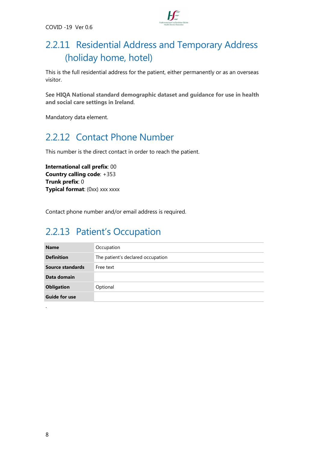

### 2.2.11 Residential Address and Temporary Address (holiday home, hotel)

This is the full residential address for the patient, either permanently or as an overseas visitor.

See **[HIQA National standard demographic dataset and guidance for use in health](https://www.hiqa.ie/reports-and-publications/health-information/national-standard-demographic-dataset-and-guidance-use)  [and social care settings in Ireland](https://www.hiqa.ie/reports-and-publications/health-information/national-standard-demographic-dataset-and-guidance-use)**.

Mandatory data element.

### 2.2.12 Contact Phone Number

This number is the direct contact in order to reach the patient.

**International call prefix: 00 Country calling code: +353 Trunk prefix: 0 Typical format:** (0xx) xxx xxxx

Contact phone number and/or email address is required.

#### 2.2.13 Patient's Occupation

| <b>Name</b>          | Occupation                        |
|----------------------|-----------------------------------|
| <b>Definition</b>    | The patient's declared occupation |
| Source standards     | Free text                         |
| Data domain          |                                   |
| <b>Obligation</b>    | Optional                          |
| <b>Guide for use</b> |                                   |
|                      |                                   |

.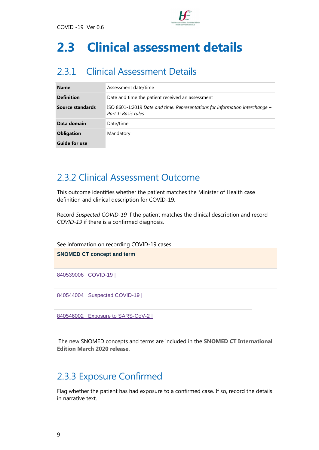

## <span id="page-10-0"></span>**2.3 Clinical assessment details**

### 2.3.1 Clinical Assessment Details

| <b>Name</b>          | Assessment date/time                                                                                  |
|----------------------|-------------------------------------------------------------------------------------------------------|
| <b>Definition</b>    | Date and time the patient received an assessment                                                      |
| Source standards     | ISO 8601-1:2019 Date and time. Representations for information interchange $-$<br>Part 1: Basic rules |
| Data domain          | Date/time                                                                                             |
| <b>Obligation</b>    | Mandatory                                                                                             |
| <b>Guide for use</b> |                                                                                                       |

#### 2.3.2 Clinical Assessment Outcome

This outcome identifies whether the patient matches the Minister of Health case definition and clinical description for COVID-19.

Record *Suspected COVID-19* if the patient matches the clinical description and record *COVID-19* if there is a confirmed diagnosis.

See information on recording COVID-19 cases

**SNOMED CT concept and term**

[840539006 | COVID-19 |](https://browser.ihtsdotools.org/?perspective=full&conceptId1=840539006&edition=MAIN/2020-01-31&release=&languages=en)

[840544004 | Suspected COVID-19 |](https://browser.ihtsdotools.org/?perspective=full&conceptId1=840544004&edition=MAIN/2020-01-31&release=&languages=en)

[840546002 | Exposure to SARS-CoV-2 |](https://browser.ihtsdotools.org/?perspective=full&conceptId1=840546002&edition=MAIN/2020-03-09&release=&languages=en)

The new SNOMED concepts and terms are included in the **[SNOMED CT International](http://www.snomed.org/news-and-events/articles/march-2020-interim-snomedct-release-COVID-19)  [Edition March 2020 release](http://www.snomed.org/news-and-events/articles/march-2020-interim-snomedct-release-COVID-19)**.

#### 2.3.3 Exposure Confirmed

Flag whether the patient has had exposure to a confirmed case. If so, record the details in narrative text.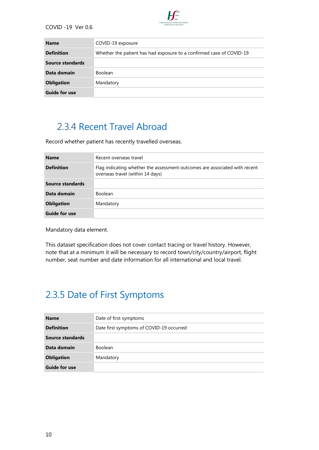

| <b>Name</b>          | COVID-19 exposure                                                    |
|----------------------|----------------------------------------------------------------------|
| <b>Definition</b>    | Whether the patient has had exposure to a confirmed case of COVID-19 |
| Source standards     |                                                                      |
| Data domain          | <b>Boolean</b>                                                       |
| <b>Obligation</b>    | Mandatory                                                            |
| <b>Guide for use</b> |                                                                      |

#### 2.3.4 Recent Travel Abroad

Record whether patient has recently travelled overseas.

| <b>Name</b>          | Recent overseas travel                                                                                         |
|----------------------|----------------------------------------------------------------------------------------------------------------|
| <b>Definition</b>    | Flag indicating whether the assessment outcomes are associated with recent<br>overseas travel (within 14 days) |
| Source standards     |                                                                                                                |
| Data domain          | Boolean                                                                                                        |
| <b>Obligation</b>    | Mandatory                                                                                                      |
| <b>Guide for use</b> |                                                                                                                |

Mandatory data element.

This dataset specification does not cover contact tracing or travel history. However, note that at a minimum it will be necessary to record town/city/country/airport, flight number, seat number and date information for all international and local travel.

### 2.3.5 Date of First Symptoms

| <b>Name</b>          | Date of first symptoms                   |
|----------------------|------------------------------------------|
| <b>Definition</b>    | Date first symptoms of COVID-19 occurred |
| Source standards     |                                          |
| Data domain          | <b>Boolean</b>                           |
| <b>Obligation</b>    | Mandatory                                |
| <b>Guide for use</b> |                                          |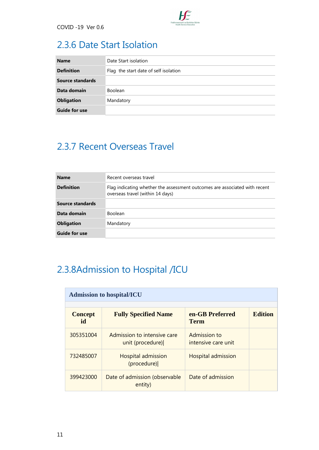

### 2.3.6 Date Start Isolation

| <b>Name</b>          | Date Start isolation                  |
|----------------------|---------------------------------------|
| <b>Definition</b>    | Flag the start date of self isolation |
| Source standards     |                                       |
| Data domain          | <b>Boolean</b>                        |
| <b>Obligation</b>    | Mandatory                             |
| <b>Guide for use</b> |                                       |

### 2.3.7 Recent Overseas Travel

| <b>Name</b>          | Recent overseas travel                                                                                         |
|----------------------|----------------------------------------------------------------------------------------------------------------|
| <b>Definition</b>    | Flag indicating whether the assessment outcomes are associated with recent<br>overseas travel (within 14 days) |
| Source standards     |                                                                                                                |
| Data domain          | <b>Boolean</b>                                                                                                 |
| <b>Obligation</b>    | Mandatory                                                                                                      |
| <b>Guide for use</b> |                                                                                                                |

## 2.3.8Admission to Hospital /ICU

| <b>Admission to hospital/ICU</b> |                                                 |                                     |                |
|----------------------------------|-------------------------------------------------|-------------------------------------|----------------|
| <b>Concept</b><br>id             | <b>Fully Specified Name</b>                     | en-GB Preferred<br><b>Term</b>      | <b>Edition</b> |
| 305351004                        | Admission to intensive care<br>unit (procedure) | Admission to<br>intensive care unit |                |
| 732485007                        | <b>Hospital admission</b><br>(procedure)        | <b>Hospital admission</b>           |                |
| 399423000                        | Date of admission (observable<br>entity)        | Date of admission                   |                |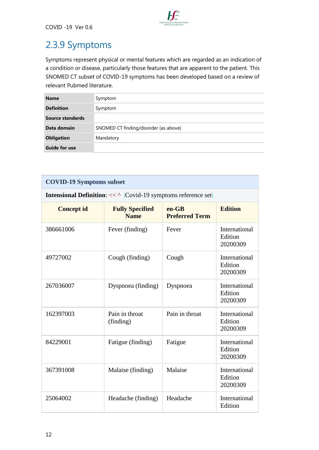

## 2.3.9 Symptoms

Symptoms represent physical or mental features which are regarded as an indication of a condition or disease, particularly those features that are apparent to the patient. This SNOMED CT subset of COVID-19 symptoms has been developed based on a review of relevant Pubmed literature.

| <b>Name</b>          | Symptom                               |
|----------------------|---------------------------------------|
| <b>Definition</b>    | Symptom                               |
| Source standards     |                                       |
| Data domain          | SNOMED CT finding/disorder (as above) |
| <b>Obligation</b>    | Mandatory                             |
| <b>Guide for use</b> |                                       |

| <b>COVID-19 Symptoms subset</b>                                          |                                       |                                  |                                      |
|--------------------------------------------------------------------------|---------------------------------------|----------------------------------|--------------------------------------|
| <b>Intensional Definition:</b> $<<$ ^ $ Covid-19$ symptoms reference set |                                       |                                  |                                      |
| <b>Concept id</b>                                                        | <b>Fully Specified</b><br><b>Name</b> | $en-GB$<br><b>Preferred Term</b> | <b>Edition</b>                       |
| 386661006                                                                | Fever (finding)                       | Fever                            | International<br>Edition<br>20200309 |
| 49727002                                                                 | Cough (finding)                       | Cough                            | International<br>Edition<br>20200309 |
| 267036007                                                                | Dyspnoea (finding)                    | Dyspnoea                         | International<br>Edition<br>20200309 |
| 162397003                                                                | Pain in throat<br>(finding)           | Pain in throat                   | International<br>Edition<br>20200309 |
| 84229001                                                                 | Fatigue (finding)                     | Fatigue                          | International<br>Edition<br>20200309 |
| 367391008                                                                | Malaise (finding)                     | Malaise                          | International<br>Edition<br>20200309 |
| 25064002                                                                 | Headache (finding)                    | Headache                         | International<br>Edition             |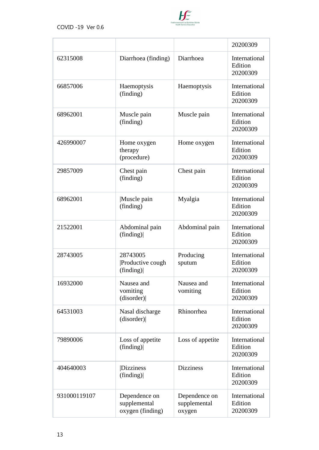

|              |                                                   |                                         | 20200309                                    |
|--------------|---------------------------------------------------|-----------------------------------------|---------------------------------------------|
| 62315008     | Diarrhoea (finding)                               | Diarrhoea                               | International<br>Edition<br>20200309        |
| 66857006     | Haemoptysis<br>(finding)                          | Haemoptysis                             | <b>International</b><br>Edition<br>20200309 |
| 68962001     | Muscle pain<br>(finding)                          | Muscle pain                             | International<br>Edition<br>20200309        |
| 426990007    | Home oxygen<br>therapy<br>(procedure)             | Home oxygen                             | International<br>Edition<br>20200309        |
| 29857009     | Chest pain<br>(finding)                           | Chest pain                              | International<br>Edition<br>20200309        |
| 68962001     | Muscle pain<br>(finding)                          | Myalgia                                 | International<br>Edition<br>20200309        |
| 21522001     | Abdominal pain<br>(finding)                       | Abdominal pain                          | International<br>Edition<br>20200309        |
| 28743005     | 28743005<br>Productive cough<br>(finding)         | Producing<br>sputum                     | International<br>Edition<br>20200309        |
| 16932000     | Nausea and<br>vomiting<br>(disorder)              | Nausea and<br>vomiting                  | International<br>Edition<br>20200309        |
| 64531003     | Nasal discharge<br>(disorder)                     | Rhinorrhea                              | International<br>Edition<br>20200309        |
| 79890006     | Loss of appetite<br>(finding)                     | Loss of appetite                        | International<br>Edition<br>20200309        |
| 404640003    | Dizziness<br>(finding)                            | <b>Dizziness</b>                        | International<br>Edition<br>20200309        |
| 931000119107 | Dependence on<br>supplemental<br>oxygen (finding) | Dependence on<br>supplemental<br>oxygen | International<br>Edition<br>20200309        |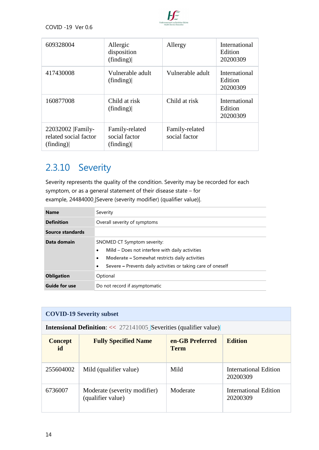

| 609328004                                                | Allergic<br>disposition<br>(finding)         | Allergy                         | International<br>Edition<br>20200309        |
|----------------------------------------------------------|----------------------------------------------|---------------------------------|---------------------------------------------|
| 417430008                                                | Vulnerable adult<br>(finding)                | Vulnerable adult                | International<br>Edition<br>20200309        |
| 160877008                                                | Child at risk<br>(finding)                   | Child at risk                   | <b>International</b><br>Edition<br>20200309 |
| 22032002   Family-<br>related social factor<br>(finding) | Family-related<br>social factor<br>(finding) | Family-related<br>social factor |                                             |

### 2.3.10 Severity

Severity represents the quality of the condition. Severity may be recorded for each symptom, or as a general statement of their disease state – for example, 24484000\_Severe (severity modifier) (qualifier value).

| <b>Name</b>          | Severity                                                                                                                                                                                                                                       |  |
|----------------------|------------------------------------------------------------------------------------------------------------------------------------------------------------------------------------------------------------------------------------------------|--|
| <b>Definition</b>    | Overall severity of symptoms                                                                                                                                                                                                                   |  |
| Source standards     |                                                                                                                                                                                                                                                |  |
| Data domain          | SNOMED CT Symptom severity:<br>Mild – Does not interfere with daily activities<br>$\bullet$<br><b>Moderate – Somewhat restricts daily activities</b><br>$\bullet$<br>Severe - Prevents daily activities or taking care of oneself<br>$\bullet$ |  |
| <b>Obligation</b>    | Optional                                                                                                                                                                                                                                       |  |
| <b>Guide for use</b> | Do not record if asymptomatic                                                                                                                                                                                                                  |  |

| <b>COVID-19 Severity subset</b> |                                                                            |                                |                                          |
|---------------------------------|----------------------------------------------------------------------------|--------------------------------|------------------------------------------|
|                                 | <b>Intensional Definition:</b> $<< 272141005$ Severities (qualifier value) |                                |                                          |
| <b>Concept</b><br>id            | <b>Fully Specified Name</b>                                                | en-GB Preferred<br><b>Term</b> | <b>Edition</b>                           |
| 255604002                       | Mild (qualifier value)                                                     | Mild                           | International Edition<br>20200309        |
| 6736007                         | Moderate (severity modifier)<br>(qualifier value)                          | Moderate                       | <b>International Edition</b><br>20200309 |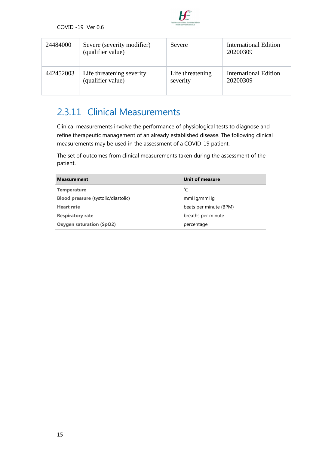

| 24484000  | Severe (severity modifier)<br>(qualifier value) | Severe           | International Edition<br>20200309 |
|-----------|-------------------------------------------------|------------------|-----------------------------------|
| 442452003 | Life threatening severity                       | Life threatening | <b>International Edition</b>      |
|           | (qualifier value)                               | severity         | 20200309                          |

#### 2.3.11 Clinical Measurements

Clinical measurements involve the performance of physiological tests to diagnose and refine therapeutic management of an already established disease. The following clinical measurements may be used in the assessment of a COVID-19 patient.

The set of outcomes from clinical measurements taken during the assessment of the patient.

| <b>Measurement</b>                         | Unit of measure        |
|--------------------------------------------|------------------------|
| <b>Temperature</b>                         | °С                     |
| <b>Blood pressure (systolic/diastolic)</b> | mmHq/mmHq              |
| <b>Heart rate</b>                          | beats per minute (BPM) |
| <b>Respiratory rate</b>                    | breaths per minute     |
| <b>Oxygen saturation (SpO2)</b>            | percentage             |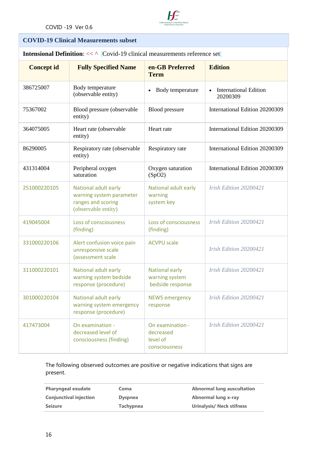

#### **COVID-19 Clinical Measurements subset**

**Intensional Definition:**  $<<$   $\land$   $|Covid-19$  clinical measurements reference set

| <b>Concept id</b> | <b>Fully Specified Name</b>                                                                   | en-GB Preferred<br><b>Term</b>                             | <b>Edition</b>                           |
|-------------------|-----------------------------------------------------------------------------------------------|------------------------------------------------------------|------------------------------------------|
| 386725007         | Body temperature<br>(observable entity)                                                       | Body temperature<br>$\bullet$                              | <b>International Edition</b><br>20200309 |
| 75367002          | Blood pressure (observable<br>entity)                                                         | <b>Blood</b> pressure                                      | International Edition 20200309           |
| 364075005         | Heart rate (observable<br>entity)                                                             | Heart rate                                                 | International Edition 20200309           |
| 86290005          | Respiratory rate (observable<br>entity)                                                       | Respiratory rate                                           | International Edition 20200309           |
| 431314004         | Peripheral oxygen<br>saturation                                                               | Oxygen saturation<br>(SpO2)                                | International Edition 20200309           |
| 251000220105      | National adult early<br>warning system parameter<br>ranges and scoring<br>(observable entity) | National adult early<br>warning<br>system key              | Irish Edition 20200421                   |
| 419045004         | Loss of consciousness<br>(finding)                                                            | Loss of consciousness<br>(finding)                         | Irish Edition 20200421                   |
| 331000220106      | Alert confusion voice pain<br>unresponsive scale<br>(assessment scale                         | <b>ACVPU scale</b>                                         | Irish Edition 20200421                   |
| 311000220101      | National adult early<br>warning system bedside<br>response (procedure)                        | National early<br>warning system<br>bedside response       | Irish Edition 20200421                   |
| 301000220104      | National adult early<br>warning system emergency<br>response (procedure)                      | <b>NEWS emergency</b><br>response                          | Irish Edition 20200421                   |
| 417473004         | On examination -<br>decreased level of<br>consciousness (finding)                             | On examination -<br>decreased<br>level of<br>consciousness | Irish Edition 20200421                   |

The following observed outcomes are positive or negative indications that signs are present.

| <b>Pharyngeal exudate</b>     | Coma             | <b>Abnormal lung auscultation</b> |
|-------------------------------|------------------|-----------------------------------|
| <b>Conjunctival injection</b> | <b>Dyspnea</b>   | Abnormal lung x-ray               |
| <b>Seizure</b>                | <b>Tachypnea</b> | <b>Urinalysis/ Neck stifness</b>  |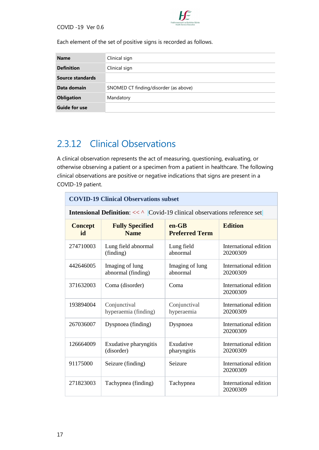

Each element of the set of positive signs is recorded as follows.

| <b>Name</b>          | Clinical sign                         |
|----------------------|---------------------------------------|
| <b>Definition</b>    | Clinical sign                         |
| Source standards     |                                       |
| Data domain          | SNOMED CT finding/disorder (as above) |
| <b>Obligation</b>    | Mandatory                             |
| <b>Guide for use</b> |                                       |

#### 2.3.12 Clinical Observations

A clinical observation represents the act of measuring, questioning, evaluating, or otherwise observing a patient or a specimen from a patient in healthcare. The following clinical observations are positive or negative indications that signs are present in a COVID-19 patient.

|                      | <b>COVID-19 Clinical Observations subset</b>                                                |                                  |                                   |  |
|----------------------|---------------------------------------------------------------------------------------------|----------------------------------|-----------------------------------|--|
|                      | <b>Intensional Definition:</b> $<<$ $\wedge$ $Covid-19$ clinical observations reference set |                                  |                                   |  |
| <b>Concept</b><br>id | <b>Fully Specified</b><br><b>Name</b>                                                       | $en-GB$<br><b>Preferred Term</b> | <b>Edition</b>                    |  |
| 274710003            | Lung field abnormal<br>(finding)                                                            | Lung field<br>abnormal           | International edition<br>20200309 |  |
| 442646005            | Imaging of lung<br>abnormal (finding)                                                       | Imaging of lung<br>abnormal      | International edition<br>20200309 |  |
| 371632003            | Coma (disorder)                                                                             | Coma                             | International edition<br>20200309 |  |
| 193894004            | Conjunctival<br>hyperaemia (finding)                                                        | Conjunctival<br>hyperaemia       | International edition<br>20200309 |  |
| 267036007            | Dyspnoea (finding)                                                                          | Dyspnoea                         | International edition<br>20200309 |  |
| 126664009            | Exudative pharyngitis<br>(disorder)                                                         | Exudative<br>pharyngitis         | International edition<br>20200309 |  |
| 91175000             | Seizure (finding)                                                                           | Seizure                          | International edition<br>20200309 |  |
| 271823003            | Tachypnea (finding)                                                                         | Tachypnea                        | International edition<br>20200309 |  |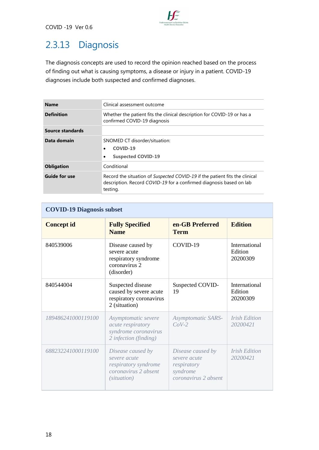

## 2.3.13 Diagnosis

The diagnosis concepts are used to record the opinion reached based on the process of finding out what is causing symptoms, a disease or injury in a patient. COVID-19 diagnoses include both suspected and confirmed diagnoses.

| Clinical assessment outcome                                                                                                                                    |
|----------------------------------------------------------------------------------------------------------------------------------------------------------------|
| Whether the patient fits the clinical description for COVID-19 or has a<br>confirmed COVID-19 diagnosis                                                        |
|                                                                                                                                                                |
| SNOMED CT disorder/situation:<br>COVID-19<br><b>Suspected COVID-19</b><br>$\bullet$                                                                            |
| Conditional                                                                                                                                                    |
| Record the situation of Suspected COVID-19 if the patient fits the clinical<br>description. Record COVID-19 for a confirmed diagnosis based on lab<br>testing. |
|                                                                                                                                                                |

| <b>COVID-19 Diagnosis subset</b> |                                                                                                  |                                                                                      |                                         |
|----------------------------------|--------------------------------------------------------------------------------------------------|--------------------------------------------------------------------------------------|-----------------------------------------|
| <b>Concept id</b>                | <b>Fully Specified</b><br><b>Name</b>                                                            | en-GB Preferred<br><b>Term</b>                                                       | <b>Edition</b>                          |
| 840539006                        | Disease caused by<br>severe acute<br>respiratory syndrome<br>coronavirus 2<br>(disorder)         | COVID-19                                                                             | International<br>Edition<br>20200309    |
| 840544004                        | Suspected disease<br>caused by severe acute<br>respiratory coronavirus<br>2 (situation)          | Suspected COVID-<br>19                                                               | International<br>Edition<br>20200309    |
| 189486241000119100               | Asymptomatic severe<br>acute respiratory<br>syndrome coronavirus<br>2 infection (finding)        | <b>Asymptomatic SARS-</b><br>$CoV-2$                                                 | <b>Irish Edition</b><br>20200421        |
| 688232241000119100               | Disease caused by<br>severe acute<br>respiratory syndrome<br>coronavirus 2 absent<br>(situation) | Disease caused by<br>severe acute<br>respiratory<br>syndrome<br>coronavirus 2 absent | <i><b>Irish Edition</b></i><br>20200421 |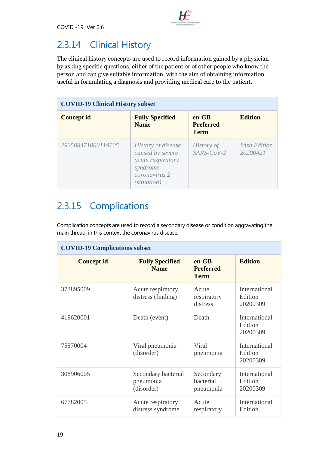

#### 2.3.14 Clinical History

The clinical history concepts are used to record information gained by a physician by asking specific questions, either of the patient or of other people who know the person and can give suitable information, with the aim of obtaining information useful in formulating a diagnosis and providing medical care to the patient.

| <b>COVID-19 Clinical History subset</b> |                                                                                                                |                                            |                                  |
|-----------------------------------------|----------------------------------------------------------------------------------------------------------------|--------------------------------------------|----------------------------------|
| <b>Concept id</b>                       | <b>Fully Specified</b><br><b>Name</b>                                                                          | $en-GB$<br><b>Preferred</b><br><b>Term</b> | <b>Edition</b>                   |
| 292508471000119105                      | <i>History of disease</i><br>caused by severe<br>acute respiratory<br>syndrome<br>coronavirus 2<br>(situation) | <b>History of</b><br>$SARS$ - $CoV$ -2     | <b>Irish Edition</b><br>20200421 |

#### 2.3.15 Complications

Complication concepts are used to record a secondary disease or condition aggravating the main thread, in this context the coronavirus disease.

| <b>COVID-19 Complications subset</b> |                                                |                                            |                                             |
|--------------------------------------|------------------------------------------------|--------------------------------------------|---------------------------------------------|
| <b>Concept id</b>                    | <b>Fully Specified</b><br><b>Name</b>          | $en-GB$<br><b>Preferred</b><br><b>Term</b> | <b>Edition</b>                              |
| 373895009                            | Acute respiratory<br>distress (finding)        | Acute<br>respiratory<br>distress           | International<br>Edition<br>20200309        |
| 419620001                            | Death (event)                                  | Death                                      | International<br>Edition<br>20200309        |
| 75570004                             | Viral pneumonia<br>(disorder)                  | Viral<br>pneumonia                         | <b>International</b><br>Edition<br>20200309 |
| 308906005                            | Secondary bacterial<br>pneumonia<br>(disorder) | Secondary<br>bacterial<br>pneumonia        | International<br>Edition<br>20200309        |
| 67782005                             | Acute respiratory<br>distress syndrome         | Acute<br>respiratory                       | International<br>Edition                    |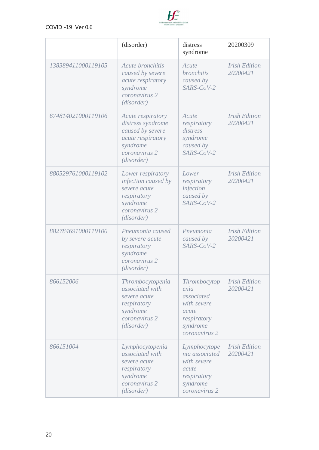

|                    | (disorder)                                                                                                                 | distress<br>syndrome                                                                                   | 20200309                         |
|--------------------|----------------------------------------------------------------------------------------------------------------------------|--------------------------------------------------------------------------------------------------------|----------------------------------|
| 138389411000119105 | Acute bronchitis<br>caused by severe<br>acute respiratory<br>syndrome<br>coronavirus 2<br>(disorder)                       | Acute<br><b>bronchitis</b><br>caused by<br>SARS-CoV-2                                                  | <b>Irish Edition</b><br>20200421 |
| 674814021000119106 | Acute respiratory<br>distress syndrome<br>caused by severe<br>acute respiratory<br>syndrome<br>coronavirus 2<br>(disorder) | Acute<br>respiratory<br>distress<br>syndrome<br>caused by<br>SARS-CoV-2                                | <b>Irish Edition</b><br>20200421 |
| 880529761000119102 | Lower respiratory<br>infection caused by<br>severe acute<br>respiratory<br>syndrome<br>coronavirus 2<br>(disorder)         | Lower<br>respiratory<br>infection<br>caused by<br>SARS-CoV-2                                           | <b>Irish Edition</b><br>20200421 |
| 882784691000119100 | Pneumonia caused<br>by severe acute<br>respiratory<br>syndrome<br>coronavirus 2<br>(disorder)                              | Pneumonia<br>caused by<br>SARS-CoV-2                                                                   | <b>Irish Edition</b><br>20200421 |
| 866152006          | Thrombocytopenia<br>associated with<br>severe acute<br>respiratory<br>syndrome<br>coronavirus 2<br>(disorder)              | Thrombocytop<br>enia<br>associated<br>with severe<br>acute<br>respiratory<br>syndrome<br>coronavirus 2 | <b>Irish Edition</b><br>20200421 |
| 866151004          | Lymphocytopenia<br>associated with<br>severe acute<br>respiratory<br>syndrome<br>coronavirus 2<br>(disorder)               | Lymphocytope<br>nia associated<br>with severe<br>acute<br>respiratory<br>syndrome<br>coronavirus 2     | <b>Irish Edition</b><br>20200421 |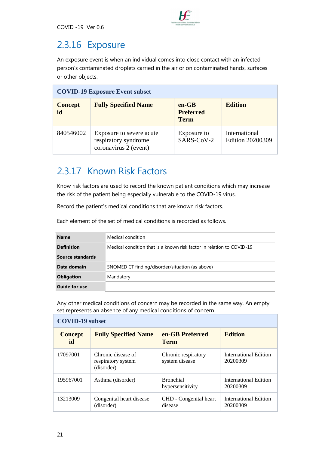

#### 2.3.16 Exposure

An exposure event is when an individual comes into close contact with an infected person's contaminated droplets carried in the air or on contaminated hands, surfaces or other objects.

| <b>COVID-19 Exposure Event subset</b> |                                                                           |                                            |                                   |
|---------------------------------------|---------------------------------------------------------------------------|--------------------------------------------|-----------------------------------|
| <b>Concept</b><br>id                  | <b>Fully Specified Name</b>                                               | $en-GB$<br><b>Preferred</b><br><b>Term</b> | <b>Edition</b>                    |
| 840546002                             | Exposure to severe acute<br>respiratory syndrome<br>coronavirus 2 (event) | Exposure to<br>SARS-CoV-2                  | International<br>Edition 20200309 |

#### 2.3.17 Known Risk Factors

Know risk factors are used to record the known patient conditions which may increase the risk of the patient being especially vulnerable to the COVID-19 virus.

Record the patient's medical conditions that are known risk factors.

Each element of the set of medical conditions is recorded as follows.

| <b>Name</b>       | Medical condition                                                     |
|-------------------|-----------------------------------------------------------------------|
| <b>Definition</b> | Medical condition that is a known risk factor in relation to COVID-19 |
| Source standards  |                                                                       |
| Data domain       | SNOMED CT finding/disorder/situation (as above)                       |
| <b>Obligation</b> | Mandatory                                                             |
| Guide for use     |                                                                       |

Any other medical conditions of concern may be recorded in the same way. An empty set represents an absence of any medical conditions of concern.

| <b>Concept</b><br>id | <b>Fully Specified Name</b>                            | en-GB Preferred<br><b>Term</b>        | <b>Edition</b>                    |
|----------------------|--------------------------------------------------------|---------------------------------------|-----------------------------------|
| 17097001             | Chronic disease of<br>respiratory system<br>(disorder) | Chronic respiratory<br>system disease | International Edition<br>20200309 |
| 195967001            | Asthma (disorder)                                      | <b>Bronchial</b><br>hypersensitivity  | International Edition<br>20200309 |
| 13213009             | Congenital heart disease<br>(disorder)                 | CHD - Congenital heart<br>disease     | International Edition<br>20200309 |

#### **COVID-19 subset**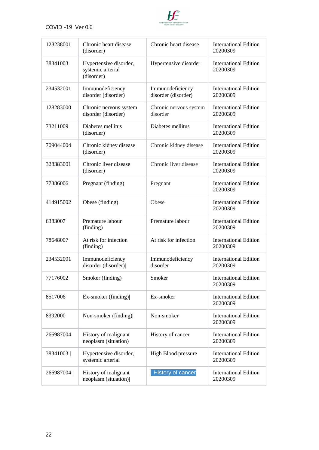

| 128238001 | Chronic heart disease<br>(disorder)                       | Chronic heart disease                   | <b>International Edition</b><br>20200309 |
|-----------|-----------------------------------------------------------|-----------------------------------------|------------------------------------------|
| 38341003  | Hypertensive disorder,<br>systemic arterial<br>(disorder) | Hypertensive disorder                   | <b>International Edition</b><br>20200309 |
| 234532001 | Immunodeficiency<br>disorder (disorder)                   | Immunodeficiency<br>disorder (disorder) | <b>International Edition</b><br>20200309 |
| 128283000 | Chronic nervous system<br>disorder (disorder)             | Chronic nervous system<br>disorder      | <b>International Edition</b><br>20200309 |
| 73211009  | Diabetes mellitus<br>(disorder)                           | Diabetes mellitus                       | <b>International Edition</b><br>20200309 |
| 709044004 | Chronic kidney disease<br>(disorder)                      | Chronic kidney disease                  | <b>International Edition</b><br>20200309 |
| 328383001 | Chronic liver disease<br>(disorder)                       | Chronic liver disease                   | <b>International Edition</b><br>20200309 |
| 77386006  | Pregnant (finding)                                        | Pregnant                                | <b>International Edition</b><br>20200309 |
| 414915002 | Obese (finding)                                           | Obese                                   | <b>International Edition</b><br>20200309 |
| 6383007   | Premature labour<br>(finding)                             | Premature labour                        | <b>International Edition</b><br>20200309 |
| 78648007  | At risk for infection<br>(finding)                        | At risk for infection                   | <b>International Edition</b><br>20200309 |
| 234532001 | Immunodeficiency<br>disorder (disorder)                   | Immunodeficiency<br>disorder            | <b>International Edition</b><br>20200309 |
| 77176002  | Smoker (finding)                                          | Smoker                                  | <b>International Edition</b><br>20200309 |
| 8517006   | Ex-smoker (finding)                                       | Ex-smoker                               | <b>International Edition</b><br>20200309 |
| 8392000   | Non-smoker (finding)                                      | Non-smoker                              | <b>International Edition</b><br>20200309 |
| 266987004 | History of malignant<br>neoplasm (situation)              | History of cancer                       | <b>International Edition</b><br>20200309 |
| 38341003  | Hypertensive disorder,<br>systemic arterial               | High Blood pressure                     | <b>International Edition</b><br>20200309 |
| 266987004 | History of malignant<br>neoplasm (situation)              | History of cancer                       | <b>International Edition</b><br>20200309 |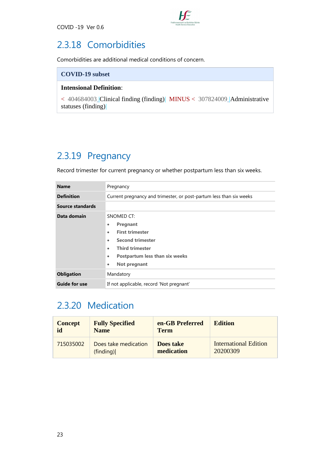

#### 2.3.18 Comorbidities

Comorbidities are additional medical conditions of concern.

#### **COVID-19 subset**

#### **Intensional Definition**:

< 404684003 [|Clinical finding \(finding\)|](http://snomed.info/id/404684003) MINUS < 307824009 [|Administrative](http://snomed.info/id/307824009)  [statuses \(finding\)|](http://snomed.info/id/307824009)

#### 2.3.19 Pregnancy

Record trimester for current pregnancy or whether postpartum less than six weeks.

| <b>Name</b>          | Pregnancy                                                                                                                                                                                                                            |
|----------------------|--------------------------------------------------------------------------------------------------------------------------------------------------------------------------------------------------------------------------------------|
| <b>Definition</b>    | Current pregnancy and trimester, or post-partum less than six weeks                                                                                                                                                                  |
| Source standards     |                                                                                                                                                                                                                                      |
| Data domain          | SNOMED CT:<br>Pregnant<br>۰<br><b>First trimester</b><br>$\bullet$<br><b>Second trimester</b><br>$\bullet$<br><b>Third trimester</b><br>$\bullet$<br><b>Postpartum less than six weeks</b><br>$\bullet$<br>Not pregnant<br>$\bullet$ |
| <b>Obligation</b>    | Mandatory                                                                                                                                                                                                                            |
| <b>Guide for use</b> | If not applicable, record 'Not pregnant'                                                                                                                                                                                             |

#### 2.3.20 Medication

| <b>Concept</b> | <b>Fully Specified</b> | en-GB Preferred | <b>Edition</b>               |
|----------------|------------------------|-----------------|------------------------------|
| id             | <b>Name</b>            | <b>Term</b>     |                              |
| 715035002      | Does take medication   | Does take       | <b>International Edition</b> |
|                | (finding)              | medication      | 20200309                     |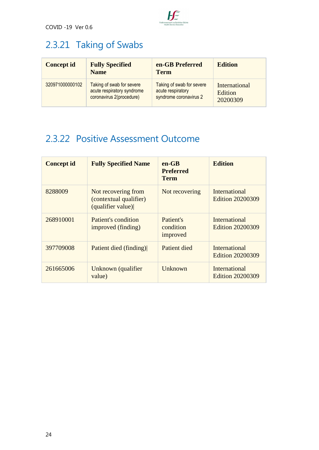

## 2.3.21 Taking of Swabs

| <b>Concept id</b> | <b>Fully Specified</b><br><b>Name</b> | en-GB Preferred<br><b>Term</b> | <b>Edition</b> |
|-------------------|---------------------------------------|--------------------------------|----------------|
| 320971000000102   | Taking of swab for severe             | Taking of swab for severe      | International  |
|                   | acute respiratory syndrome            | acute respiratory              | Edition        |
|                   | coronavirus 2(procedure)              | syndrome coronavirus 2         | 20200309       |

#### 2.3.22 Positive Assessment Outcome

| <b>Concept id</b> | <b>Fully Specified Name</b>                                        | $en-GB$<br><b>Preferred</b><br><b>Term</b> | <b>Edition</b>                                  |
|-------------------|--------------------------------------------------------------------|--------------------------------------------|-------------------------------------------------|
| 8288009           | Not recovering from<br>(contextual qualifier)<br>(qualifier value) | Not recovering                             | International<br><b>Edition 20200309</b>        |
| 268910001         | Patient's condition<br>improved (finding)                          | Patient's<br>condition<br>improved         | International<br><b>Edition 20200309</b>        |
| 397709008         | Patient died (finding)                                             | Patient died                               | International<br><b>Edition 20200309</b>        |
| 261665006         | Unknown (qualifier<br>value)                                       | Unknown                                    | <b>International</b><br><b>Edition 20200309</b> |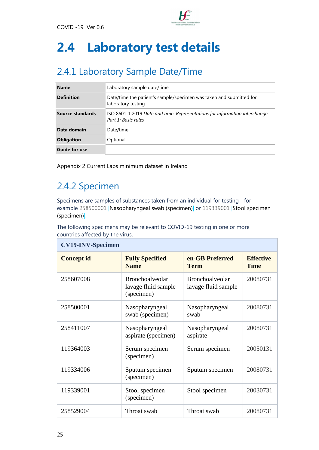

# <span id="page-26-0"></span>**2.4 Laboratory test details**

## 2.4.1 Laboratory Sample Date/Time

| <b>Name</b>          | Laboratory sample date/time                                                                           |
|----------------------|-------------------------------------------------------------------------------------------------------|
| <b>Definition</b>    | Date/time the patient's sample/specimen was taken and submitted for<br>laboratory testing             |
| Source standards     | ISO 8601-1:2019 Date and time. Representations for information interchange $-$<br>Part 1: Basic rules |
| Data domain          | Date/time                                                                                             |
| <b>Obligation</b>    | Optional                                                                                              |
| <b>Guide for use</b> |                                                                                                       |

Appendix 2 Current Labs minimum dataset in Ireland

### 2.4.2 Specimen

Specimens are samples of substances taken from an individual for testing - for example 258500001 [|Nasopharyngeal swab \(specimen\)|](http://snomed.info/id/258500001) or 119339001 [|Stool specimen](http://snomed.info/id/119339001)  [\(specimen\)|.](http://snomed.info/id/119339001)

The following specimens may be relevant to COVID-19 testing in one or more countries affected by the virus.

| <b>CV19-INV-Specimen</b> |                                                             |                                               |                                 |
|--------------------------|-------------------------------------------------------------|-----------------------------------------------|---------------------------------|
| <b>Concept id</b>        | <b>Fully Specified</b><br><b>Name</b>                       | en-GB Preferred<br><b>Term</b>                | <b>Effective</b><br><b>Time</b> |
| 258607008                | <b>Bronchoalveolar</b><br>lavage fluid sample<br>(specimen) | <b>Bronchoalveolar</b><br>lavage fluid sample | 20080731                        |
| 258500001                | Nasopharyngeal<br>swab (specimen)                           | Nasopharyngeal<br>swab                        | 20080731                        |
| 258411007                | Nasopharyngeal<br>aspirate (specimen)                       | Nasopharyngeal<br>aspirate                    | 20080731                        |
| 119364003                | Serum specimen<br>(specimen)                                | Serum specimen                                | 20050131                        |
| 119334006                | Sputum specimen<br>(specimen)                               | Sputum specimen                               | 20080731                        |
| 119339001                | Stool specimen<br>(specimen)                                | Stool specimen                                | 20030731                        |
| 258529004                | Throat swab                                                 | Throat swab                                   | 20080731                        |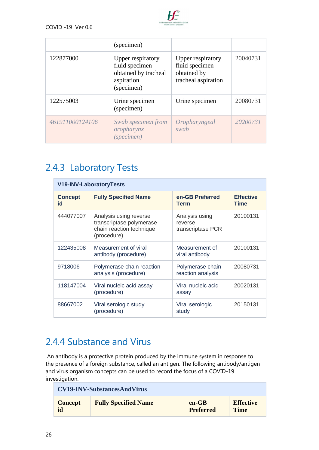

|                 | (specimen)                                                                              |                                                                           |          |
|-----------------|-----------------------------------------------------------------------------------------|---------------------------------------------------------------------------|----------|
| 122877000       | Upper respiratory<br>fluid specimen<br>obtained by tracheal<br>aspiration<br>(specimen) | Upper respiratory<br>fluid specimen<br>obtained by<br>tracheal aspiration | 20040731 |
| 122575003       | Urine specimen<br>(specimen)                                                            | Urine specimen                                                            | 20080731 |
| 461911000124106 | Swab specimen from<br>oropharynx<br>(specimen)                                          | Oropharyngeal<br>swab                                                     | 20200731 |

#### 2.4.3 Laboratory Tests

| <b>V19-INV-LaboratoryTests</b> |                                                                                               |                                                |                                 |
|--------------------------------|-----------------------------------------------------------------------------------------------|------------------------------------------------|---------------------------------|
| <b>Concept</b><br>id           | <b>Fully Specified Name</b>                                                                   | en-GB Preferred<br><b>Term</b>                 | <b>Effective</b><br><b>Time</b> |
| 444077007                      | Analysis using reverse<br>transcriptase polymerase<br>chain reaction technique<br>(procedure) | Analysis using<br>reverse<br>transcriptase PCR | 20100131                        |
| 122435008                      | Measurement of viral<br>antibody (procedure)                                                  | Measurement of<br>viral antibody               | 20100131                        |
| 9718006                        | Polymerase chain reaction<br>analysis (procedure)                                             | Polymerase chain<br>reaction analysis          | 20080731                        |
| 118147004                      | Viral nucleic acid assay<br>(procedure)                                                       | Viral nucleic acid<br>assay                    | 20020131                        |
| 88667002                       | Viral serologic study<br>(procedure)                                                          | Viral serologic<br>study                       | 20150131                        |

#### 2.4.4 Substance and Virus

An antibody is a protective protein produced by the immune system in response to the presence of a foreign substance, called an antigen. The following antibody/antigen and virus organism concepts can be used to record the focus of a COVID-19 investigation.

| <b>CV19-INV-SubstancesAndVirus</b> |                             |                  |                  |
|------------------------------------|-----------------------------|------------------|------------------|
| <b>Concept</b>                     | <b>Fully Specified Name</b> | $en-GB$          | <b>Effective</b> |
| id                                 |                             | <b>Preferred</b> | <b>Time</b>      |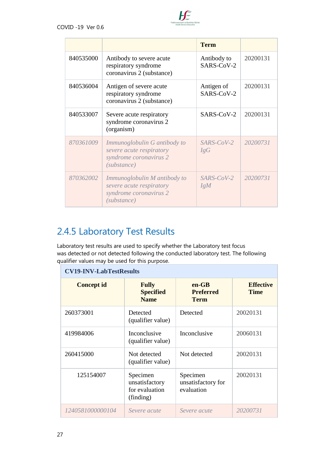

|           |                                                                                                   | <b>Term</b>               |          |
|-----------|---------------------------------------------------------------------------------------------------|---------------------------|----------|
| 840535000 | Antibody to severe acute<br>respiratory syndrome<br>coronavirus 2 (substance)                     | Antibody to<br>SARS-CoV-2 | 20200131 |
| 840536004 | Antigen of severe acute<br>respiratory syndrome<br>coronavirus 2 (substance)                      | Antigen of<br>SARS-CoV-2  | 20200131 |
| 840533007 | Severe acute respiratory<br>syndrome coronavirus 2<br>(organism)                                  | SARS-CoV-2                | 20200131 |
| 870361009 | Immunoglobulin G antibody to<br>severe acute respiratory<br>syndrome coronavirus 2<br>(substance) | $SARS$ - $CoV$ -2<br>IgG  | 20200731 |
| 870362002 | Immunoglobulin M antibody to<br>severe acute respiratory<br>syndrome coronavirus 2<br>(substance) | <i>SARS-CoV-2</i><br>IgM  | 20200731 |

### 2.4.5 Laboratory Test Results

Laboratory test results are used to specify whether the Laboratory test focus was detected or not detected following the conducted laboratory test. The following qualifier values may be used for this purpose.

```
CV19-INV-LabTestResults
   Concept id Fully 
                      Specified 
                      Name
                                     en-GB 
                                     Preferred 
                                     Term
                                                      Effective 
                                                      Time
260373001 Detected 
                   (qualifier value)
                                  Detected 20020131
419984006 Inconclusive 
                   (qualifier value)
                                  Inconclusive 20060131
260415000 Not detected 
                   (qualifier value)
                                  Not detected 20020131
   125154007 | Specimen
                   unsatisfactory 
                   for evaluation 
                   (finding)
                                  Specimen 
                                  unsatisfactory for 
                                  evaluation
                                                   20020131
1240581000000104 Severe acute Severe acute 20200731
```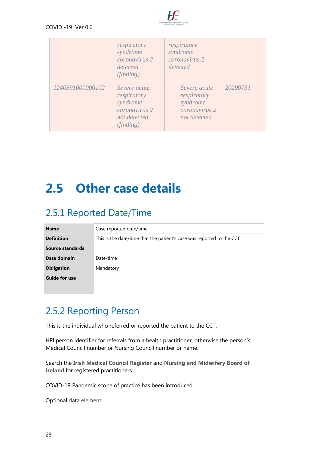

|                  | respiratory<br>syndrome<br>coronavirus 2<br>detected<br>(finding)                     | respiratory<br>syndrome<br>coronavirus 2<br>detected                                |          |
|------------------|---------------------------------------------------------------------------------------|-------------------------------------------------------------------------------------|----------|
| 1240591000000102 | Severe acute<br>respiratory<br>syndrome<br>coronavirus 2<br>not detected<br>(finding) | Severe acute<br>respiratory<br>syndrome<br>coronavirus <sub>2</sub><br>not detected | 20200731 |

## <span id="page-29-0"></span>**2.5 Other case details**

### 2.5.1 Reported Date/Time

| <b>Name</b>          | Case reported date/time                                               |
|----------------------|-----------------------------------------------------------------------|
| <b>Definition</b>    | This is the date/time that the patient's case was reported to the CCT |
| Source standards     |                                                                       |
| Data domain          | Date/time                                                             |
| <b>Obligation</b>    | Mandatory                                                             |
| <b>Guide for use</b> |                                                                       |

### 2.5.2 Reporting Person

This is the individual who referred or reported the patient to the CCT.

HPI person identifier for referrals from a health practitioner, otherwise the person's Medical Council number or Nursing Council number or name.

Search the **[Irish Medical Council Register](https://www.medicalcouncil.ie/public-information/check-the-register/?DOSEARCH=1®NO=&FORENAME=david&SURNAME=kenning)** and **[Nursing and Midwifery Board of](https://www.nmbi.ie/Check-the-Register)  [Ireland](https://www.nmbi.ie/Check-the-Register)** for registered practitioners.

COVID-19 Pandemic scope of practice has been introduced.

Optional data element.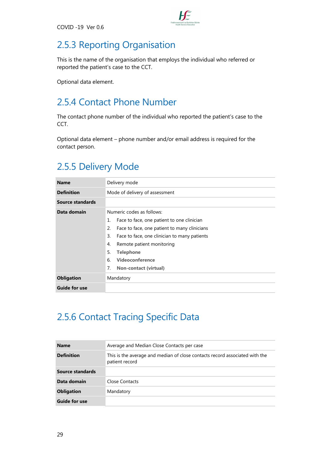

### 2.5.3 Reporting Organisation

This is the name of the organisation that employs the individual who referred or reported the patient's case to the CCT.

Optional data element.

### 2.5.4 Contact Phone Number

The contact phone number of the individual who reported the patient's case to the CCT.

Optional data element – phone number and/or email address is required for the contact person.

#### 2.5.5 Delivery Mode

| <b>Name</b>          | Delivery mode                                      |
|----------------------|----------------------------------------------------|
| <b>Definition</b>    | Mode of delivery of assessment                     |
| Source standards     |                                                    |
| Data domain          | Numeric codes as follows:                          |
|                      | Face to face, one patient to one clinician<br>1.   |
|                      | 2.<br>Face to face, one patient to many clinicians |
|                      | 3.<br>Face to face, one clinician to many patients |
|                      | Remote patient monitoring<br>4.                    |
|                      | 5.<br><b>Telephone</b>                             |
|                      | Videoconference<br>6.                              |
|                      | 7.<br><b>Non-contact (virtual)</b>                 |
| <b>Obligation</b>    | Mandatory                                          |
| <b>Guide for use</b> |                                                    |

### 2.5.6 Contact Tracing Specific Data

| <b>Name</b>          | Average and Median Close Contacts per case                                                    |  |  |
|----------------------|-----------------------------------------------------------------------------------------------|--|--|
| <b>Definition</b>    | This is the average and median of close contacts record associated with the<br>patient record |  |  |
| Source standards     |                                                                                               |  |  |
| Data domain          | Close Contacts                                                                                |  |  |
| <b>Obligation</b>    | Mandatory                                                                                     |  |  |
| <b>Guide for use</b> |                                                                                               |  |  |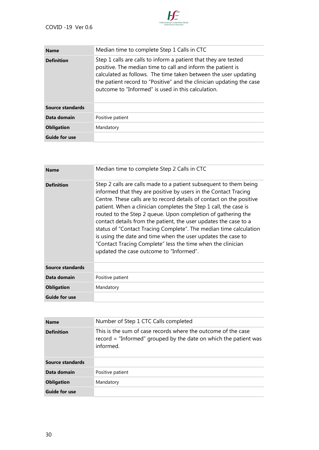

| <b>Name</b>          | Median time to complete Step 1 Calls in CTC                                                                                                                                                                                                                                                                                     |  |
|----------------------|---------------------------------------------------------------------------------------------------------------------------------------------------------------------------------------------------------------------------------------------------------------------------------------------------------------------------------|--|
| <b>Definition</b>    | Step 1 calls are calls to inform a patient that they are tested<br>positive. The median time to call and inform the patient is<br>calculated as follows. The time taken between the user updating<br>the patient record to "Positive" and the clinician updating the case<br>outcome to "Informed" is used in this calculation. |  |
| Source standards     |                                                                                                                                                                                                                                                                                                                                 |  |
| Data domain          | Positive patient                                                                                                                                                                                                                                                                                                                |  |
| <b>Obligation</b>    | Mandatory                                                                                                                                                                                                                                                                                                                       |  |
| <b>Guide for use</b> |                                                                                                                                                                                                                                                                                                                                 |  |

| <b>Name</b>          | Median time to complete Step 2 Calls in CTC                                                                                                                                                                                                                                                                                                                                                                                                                                                                                                                                                                                                                         |
|----------------------|---------------------------------------------------------------------------------------------------------------------------------------------------------------------------------------------------------------------------------------------------------------------------------------------------------------------------------------------------------------------------------------------------------------------------------------------------------------------------------------------------------------------------------------------------------------------------------------------------------------------------------------------------------------------|
| <b>Definition</b>    | Step 2 calls are calls made to a patient subsequent to them being<br>informed that they are positive by users in the Contact Tracing<br>Centre. These calls are to record details of contact on the positive<br>patient. When a clinician completes the Step 1 call, the case is<br>routed to the Step 2 queue. Upon completion of gathering the<br>contact details from the patient, the user updates the case to a<br>status of "Contact Tracing Complete". The median time calculation<br>is using the date and time when the user updates the case to<br>"Contact Tracing Complete" less the time when the clinician<br>updated the case outcome to "Informed". |
| Source standards     |                                                                                                                                                                                                                                                                                                                                                                                                                                                                                                                                                                                                                                                                     |
| Data domain          | Positive patient                                                                                                                                                                                                                                                                                                                                                                                                                                                                                                                                                                                                                                                    |
| <b>Obligation</b>    | Mandatory                                                                                                                                                                                                                                                                                                                                                                                                                                                                                                                                                                                                                                                           |
| <b>Guide for use</b> |                                                                                                                                                                                                                                                                                                                                                                                                                                                                                                                                                                                                                                                                     |

| <b>Name</b>          | Number of Step 1 CTC Calls completed                                                                                                             |  |
|----------------------|--------------------------------------------------------------------------------------------------------------------------------------------------|--|
| <b>Definition</b>    | This is the sum of case records where the outcome of the case<br>$record = "Informed" grouped by the date on which the patient was$<br>informed. |  |
| Source standards     |                                                                                                                                                  |  |
| Data domain          | Positive patient                                                                                                                                 |  |
| <b>Obligation</b>    | Mandatory                                                                                                                                        |  |
| <b>Guide for use</b> |                                                                                                                                                  |  |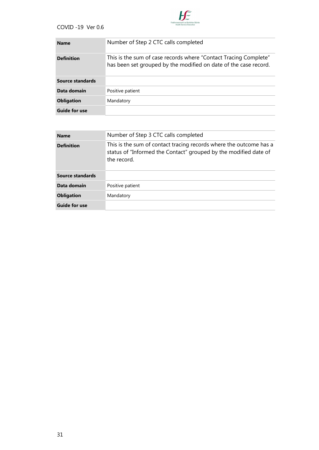

| <b>Name</b>          | Number of Step 2 CTC calls completed                                                                                                 |
|----------------------|--------------------------------------------------------------------------------------------------------------------------------------|
| <b>Definition</b>    | This is the sum of case records where "Contact Tracing Complete"<br>has been set grouped by the modified on date of the case record. |
| Source standards     |                                                                                                                                      |
| Data domain          | Positive patient                                                                                                                     |
| <b>Obligation</b>    | Mandatory                                                                                                                            |
| <b>Guide for use</b> |                                                                                                                                      |

| <b>Name</b>          | Number of Step 3 CTC calls completed                                                                                                                  |  |
|----------------------|-------------------------------------------------------------------------------------------------------------------------------------------------------|--|
| <b>Definition</b>    | This is the sum of contact tracing records where the outcome has a<br>status of "Informed the Contact" grouped by the modified date of<br>the record. |  |
| Source standards     |                                                                                                                                                       |  |
| Data domain          | Positive patient                                                                                                                                      |  |
| <b>Obligation</b>    | Mandatory                                                                                                                                             |  |
| <b>Guide for use</b> |                                                                                                                                                       |  |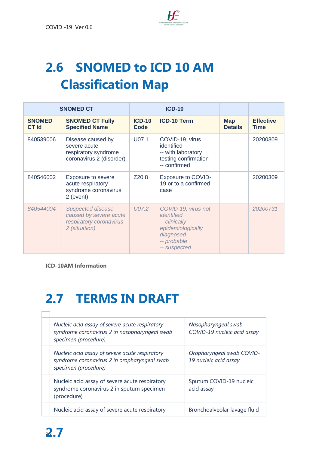

# <span id="page-33-0"></span>**2.6 SNOMED to ICD 10 AM Classification Map**

| <b>SNOMED CT</b>              |                                                                                                | <b>ICD-10</b>         |                                                                                                                      |                              |                                 |
|-------------------------------|------------------------------------------------------------------------------------------------|-----------------------|----------------------------------------------------------------------------------------------------------------------|------------------------------|---------------------------------|
| <b>SNOMED</b><br><b>CT Id</b> | <b>SNOMED CT Fully</b><br><b>Specified Name</b>                                                | <b>ICD-10</b><br>Code | <b>ICD-10 Term</b>                                                                                                   | <b>Map</b><br><b>Details</b> | <b>Effective</b><br><b>Time</b> |
| 840539006                     | Disease caused by<br>severe acute<br>respiratory syndrome<br>coronavirus 2 (disorder)          | U07.1                 | COVID-19, virus<br>identified<br>-- with laboratory<br>testing confirmation<br>-- confirmed                          |                              | 20200309                        |
| 840546002                     | Exposure to severe<br>acute respiratory<br>syndrome coronavirus<br>2 (event)                   | Z20.8                 | Exposure to COVID-<br>19 or to a confirmed<br>case                                                                   |                              | 20200309                        |
| 840544004                     | <b>Suspected disease</b><br>caused by severe acute<br>respiratory coronavirus<br>2 (situation) | U07.2                 | COVID-19, virus not<br>identified<br>-- clinically-<br>epidemiologically<br>diagnosed<br>-- probable<br>-- suspected |                              | 20200731                        |

**[ICD-10AM Information](http://www.hpo.ie/hipe/clinical_coding/irish_coding_standards/ICS_22X2_Novel_Coronavirus_Covid-19_01APR2020.pdf)**

# <span id="page-33-1"></span>**2.7 TERMS IN DRAFT**

| Nucleic acid assay of severe acute respiratory<br>syndrome coronavirus 2 in nasopharyngeal swab<br>specimen (procedure) | Nasopharyngeal swab<br>COVID-19 nucleic acid assay |
|-------------------------------------------------------------------------------------------------------------------------|----------------------------------------------------|
| Nucleic acid assay of severe acute respiratory<br>syndrome coronavirus 2 in oropharyngeal swab<br>specimen (procedure)  | Oropharyngeal swab COVID-<br>19 nucleic acid assay |
| Nucleic acid assay of severe acute respiratory<br>syndrome coronavirus 2 in sputum specimen<br>(procedure)              | Sputum COVID-19 nucleic<br>acid assay              |
|                                                                                                                         |                                                    |

Nucleic acid assay of severe acute respiratory | Bronchoalveolar lavage fluid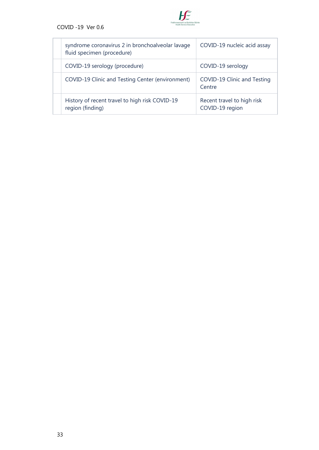

| syndrome coronavirus 2 in bronchoalveolar lavage<br>fluid specimen (procedure) | COVID-19 nucleic acid assay                   |
|--------------------------------------------------------------------------------|-----------------------------------------------|
| COVID-19 serology (procedure)                                                  | COVID-19 serology                             |
| COVID-19 Clinic and Testing Center (environment)                               | COVID-19 Clinic and Testing<br>Centre         |
| History of recent travel to high risk COVID-19<br>region (finding)             | Recent travel to high risk<br>COVID-19 region |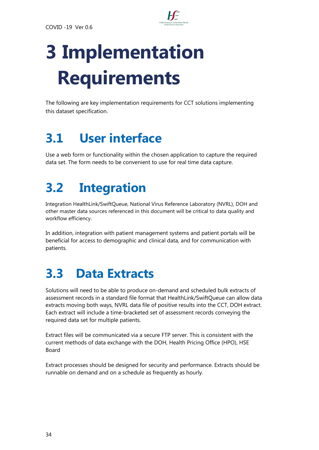

# <span id="page-35-0"></span>**3 Implementation Requirements**

The following are key implementation requirements for CCT solutions implementing this dataset specification.

# <span id="page-35-1"></span>**3.1 User interface**

<span id="page-35-2"></span>Use a web form or functionality within the chosen application to capture the required data set. The form needs to be convenient to use for real time data capture.

# **3.2 Integration**

Integration HealthLink/SwiftQueue, National Virus Reference Laboratory (NVRL), DOH and other master data sources referenced in this document will be critical to data quality and workflow efficiency.

In addition, integration with patient management systems and patient portals will be beneficial for access to demographic and clinical data, and for communication with patients.

# <span id="page-35-3"></span>**3.3 Data Extracts**

Solutions will need to be able to produce on-demand and scheduled bulk extracts of assessment records in a standard file format that HealthLink/SwiftQueue can allow data extracts moving both ways, NVRL data file of positive results into the CCT, DOH extract. Each extract will include a time-bracketed set of assessment records conveying the required data set for multiple patients.

Extract files will be communicated via a secure FTP server. This is consistent with the current methods of data exchange with the DOH, Health Pricing Office (HPO), HSE Board

Extract processes should be designed for security and performance. Extracts should be runnable on demand and on a schedule as frequently as hourly.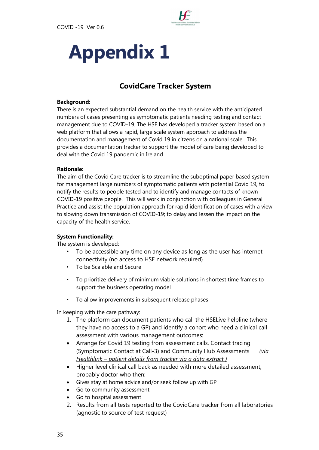

# <span id="page-36-0"></span>**Appendix 1**

#### **CovidCare Tracker System**

#### **Background:**

There is an expected substantial demand on the health service with the anticipated numbers of cases presenting as symptomatic patients needing testing and contact management due to COVID-19. The HSE has developed a tracker system based on a web platform that allows a rapid, large scale system approach to address the documentation and management of Covid 19 in citzens on a national scale. This provides a documentation tracker to support the model of care being developed to deal with the Covid 19 pandemic in Ireland

#### **Rationale:**

The aim of the Covid Care tracker is to streamline the suboptimal paper based system for management large numbers of symptomatic patients with potential Covid 19, to notify the results to people tested and to identify and manage contacts of known COVID-19 positive people. This will work in conjunction with colleagues in General Practice and assist the population approach for rapid identification of cases with a view to slowing down transmission of COVID-19; to delay and lessen the impact on the capacity of the health service.

#### **System Functionality:**

The system is developed:

- To be accessible any time on any device as long as the user has internet connectivity (no access to HSE network required)
- To be Scalable and Secure
- To prioritize delivery of minimum viable solutions in shortest time frames to support the business operating model
- To allow improvements in subsequent release phases

In keeping with the care pathway:

- 1. The platform can document patients who call the HSELive helpline (where they have no access to a GP) and identify a cohort who need a clinical call assessment with various management outcomes:
- Arrange for Covid 19 testing from assessment calls, Contact tracing (Symptomatic Contact at Call-3) and Community Hub Assessments *(via Healthlink – patient details from tracker via a data extract )*
- Higher level clinical call back as needed with more detailed assessment, probably doctor who then:
- Gives stay at home advice and/or seek follow up with GP
- Go to community assessment
- Go to hospital assessment
- 2. Results from all tests reported to the CovidCare tracker from all laboratories (agnostic to source of test request)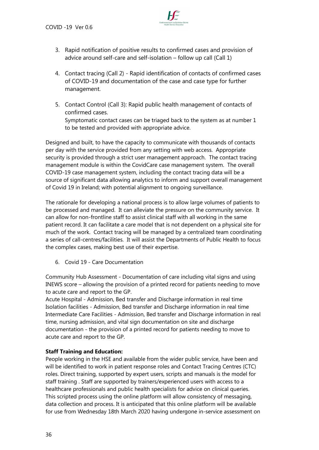

- 3. Rapid notification of positive results to confirmed cases and provision of advice around self-care and self-isolation – follow up call (Call 1)
- 4. Contact tracing (Call 2) Rapid identification of contacts of confirmed cases of COVID-19 and documentation of the case and case type for further management.
- 5. Contact Control (Call 3): Rapid public health management of contacts of confirmed cases. Symptomatic contact cases can be triaged back to the system as at number 1 to be tested and provided with appropriate advice.

Designed and built, to have the capacity to communicate with thousands of contacts per day with the service provided from any setting with web access. Appropriate security is provided through a strict user management approach. The contact tracing management module is within the CovidCare case management system. The overall COVID-19 case management system, including the contact tracing data will be a source of significant data allowing analytics to inform and support overall management of Covid 19 in Ireland; with potential alignment to ongoing surveillance.

The rationale for developing a national process is to allow large volumes of patients to be processed and managed. It can alleviate the pressure on the community service. It can allow for non-frontline staff to assist clinical staff with all working in the same patient record. It can facilitate a care model that is not dependent on a physical site for much of the work. Contact tracing will be managed by a centralized team coordinating a series of call-centres/facilities. It will assist the Departments of Public Health to focus the complex cases, making best use of their expertise.

6. Covid 19 - Care Documentation

Community Hub Assessment - Documentation of care including vital signs and using INEWS score – allowing the provision of a printed record for patients needing to move to acute care and report to the GP.

Acute Hospital - Admission, Bed transfer and Discharge information in real time Isolation facilities - Admission, Bed transfer and Discharge information in real time Intermediate Care Facilities - Admission, Bed transfer and Discharge information in real time, nursing admission, and vital sign documentation on site and discharge documentation - the provision of a printed record for patients needing to move to acute care and report to the GP.

#### **Staff Training and Education:**

People working in the HSE and available from the wider public service, have been and will be identified to work in patient response roles and Contact Tracing Centres (CTC) roles. Direct training, supported by expert users, scripts and manuals is the model for staff training . Staff are supported by trainers/experienced users with access to a healthcare professionals and public health specialists for advice on clinical queries. This scripted process using the online platform will allow consistency of messaging, data collection and process. It is anticipated that this online platform will be available for use from Wednesday 18th March 2020 having undergone in-service assessment on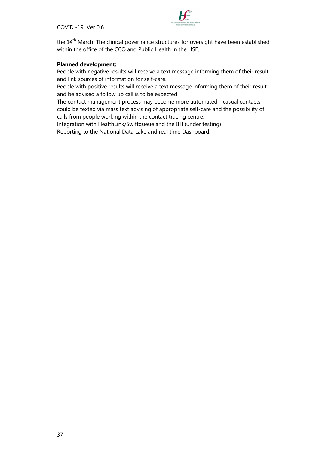

the 14<sup>th</sup> March. The clinical governance structures for oversight have been established within the office of the CCO and Public Health in the HSE.

#### **Planned development:**

People with negative results will receive a text message informing them of their result and link sources of information for self-care.

People with positive results will receive a text message informing them of their result and be advised a follow up call is to be expected

The contact management process may become more automated - casual contacts could be texted via mass text advising of appropriate self-care and the possibility of calls from people working within the contact tracing centre.

Integration with HealthLink/Swiftqueue and the IHI (under testing) Reporting to the National Data Lake and real time Dashboard.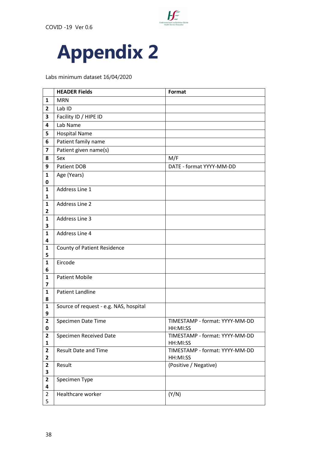

<span id="page-39-0"></span>

Labs minimum dataset 16/04/2020

|                                | <b>HEADER Fields</b>                   | Format                                     |
|--------------------------------|----------------------------------------|--------------------------------------------|
| $\mathbf{1}$                   | <b>MRN</b>                             |                                            |
| $\overline{2}$                 | Lab ID                                 |                                            |
| 3                              | Facility ID / HIPE ID                  |                                            |
| 4                              | Lab Name                               |                                            |
| 5                              | <b>Hospital Name</b>                   |                                            |
| 6                              | Patient family name                    |                                            |
| 7                              | Patient given name(s)                  |                                            |
| 8                              | Sex                                    | M/F                                        |
| 9                              | Patient DOB                            | DATE - format YYYY-MM-DD                   |
| 1<br>0                         | Age (Years)                            |                                            |
| 1<br>1                         | Address Line 1                         |                                            |
| $\mathbf{1}$<br>2              | <b>Address Line 2</b>                  |                                            |
| 1<br>3                         | Address Line 3                         |                                            |
| $\mathbf{1}$<br>4              | Address Line 4                         |                                            |
| 1<br>5                         | <b>County of Patient Residence</b>     |                                            |
| $\mathbf{1}$<br>6              | Eircode                                |                                            |
| 1<br>$\overline{\mathbf{z}}$   | <b>Patient Mobile</b>                  |                                            |
| 1<br>8                         | <b>Patient Landline</b>                |                                            |
| $\mathbf{1}$<br>9              | Source of request - e.g. NAS, hospital |                                            |
| $\mathbf{2}$<br>0              | Specimen Date Time                     | TIMESTAMP - format: YYYY-MM-DD<br>HH:MI:SS |
| $\mathbf{2}$<br>$\mathbf{1}$   | Specimen Received Date                 | TIMESTAMP - format: YYYY-MM-DD<br>HH:MI:SS |
| $\mathbf{2}$<br>$\overline{2}$ | <b>Result Date and Time</b>            | TIMESTAMP - format: YYYY-MM-DD<br>HH:MI:SS |
| $\mathbf{2}$<br>3              | Result                                 | (Positive / Negative)                      |
| $\mathbf{2}$<br>4              | Specimen Type                          |                                            |
| $\overline{2}$<br>5            | Healthcare worker                      | (Y/N)                                      |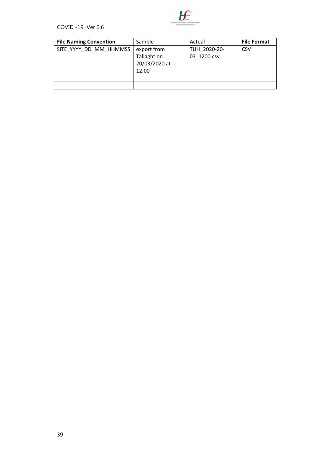

| <b>File Naming Convention</b> | Sample                                               | Actual                      | <b>File Format</b> |
|-------------------------------|------------------------------------------------------|-----------------------------|--------------------|
| SITE YYYY DD MM HHMMSS        | export from<br>Tallaght on<br>20/03/2020 at<br>12:00 | TUH 2020-20-<br>03 1200.csv | <b>CSV</b>         |
|                               |                                                      |                             |                    |